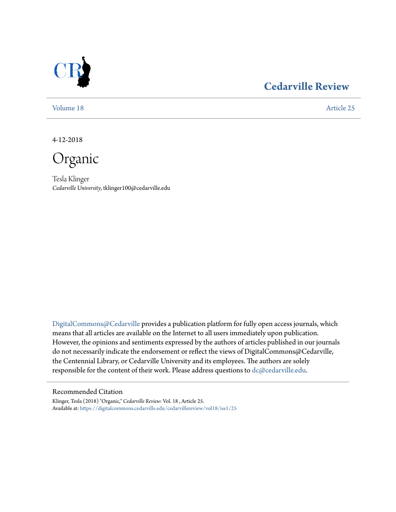

### **[Cedarville Review](https://digitalcommons.cedarville.edu/cedarvillereview?utm_source=digitalcommons.cedarville.edu%2Fcedarvillereview%2Fvol18%2Fiss1%2F25&utm_medium=PDF&utm_campaign=PDFCoverPages)**

[Volume 18](https://digitalcommons.cedarville.edu/cedarvillereview/vol18?utm_source=digitalcommons.cedarville.edu%2Fcedarvillereview%2Fvol18%2Fiss1%2F25&utm_medium=PDF&utm_campaign=PDFCoverPages) [Article 25](https://digitalcommons.cedarville.edu/cedarvillereview/vol18/iss1/25?utm_source=digitalcommons.cedarville.edu%2Fcedarvillereview%2Fvol18%2Fiss1%2F25&utm_medium=PDF&utm_campaign=PDFCoverPages)

4-12-2018

Organic

Tesla Klinger *Cedarville University*, tklinger100@cedarville.edu

[DigitalCommons@Cedarville](http://digitalcommons.cedarville.edu/) provides a publication platform for fully open access journals, which means that all articles are available on the Internet to all users immediately upon publication. However, the opinions and sentiments expressed by the authors of articles published in our journals do not necessarily indicate the endorsement or reflect the views of DigitalCommons@Cedarville, the Centennial Library, or Cedarville University and its employees. The authors are solely responsible for the content of their work. Please address questions to [dc@cedarville.edu](mailto:dc@cedarville.edu).

#### Recommended Citation

Klinger, Tesla (2018) "Organic," *Cedarville Review*: Vol. 18 , Article 25. Available at: [https://digitalcommons.cedarville.edu/cedarvillereview/vol18/iss1/25](https://digitalcommons.cedarville.edu/cedarvillereview/vol18/iss1/25?utm_source=digitalcommons.cedarville.edu%2Fcedarvillereview%2Fvol18%2Fiss1%2F25&utm_medium=PDF&utm_campaign=PDFCoverPages)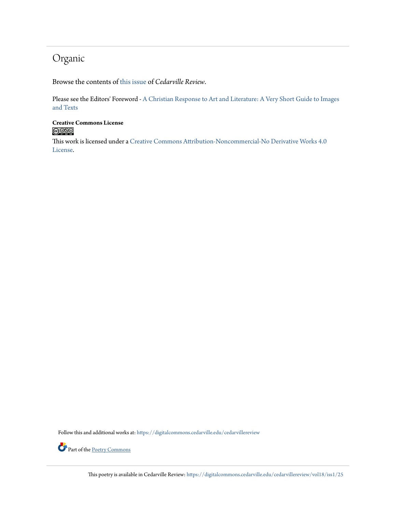### Organic

Browse the contents of [this issue](https://digitalcommons.cedarville.edu/cedarvillereview/vol18/iss1) of *Cedarville Review*.

Please see the Editors' Foreword - [A Christian Response to Art and Literature: A Very Short Guide to Images](http://digitalcommons.cedarville.edu/cedarvillereview/vol18/iss1/1/) [and Texts](http://digitalcommons.cedarville.edu/cedarvillereview/vol18/iss1/1/)

# **Creative Commons License**<br> **C** 090

This work is licensed under a [Creative Commons Attribution-Noncommercial-No Derivative Works 4.0](http://creativecommons.org/licenses/by-nc-nd/4.0/) [License.](http://creativecommons.org/licenses/by-nc-nd/4.0/)

Follow this and additional works at: [https://digitalcommons.cedarville.edu/cedarvillereview](https://digitalcommons.cedarville.edu/cedarvillereview?utm_source=digitalcommons.cedarville.edu%2Fcedarvillereview%2Fvol18%2Fiss1%2F25&utm_medium=PDF&utm_campaign=PDFCoverPages)

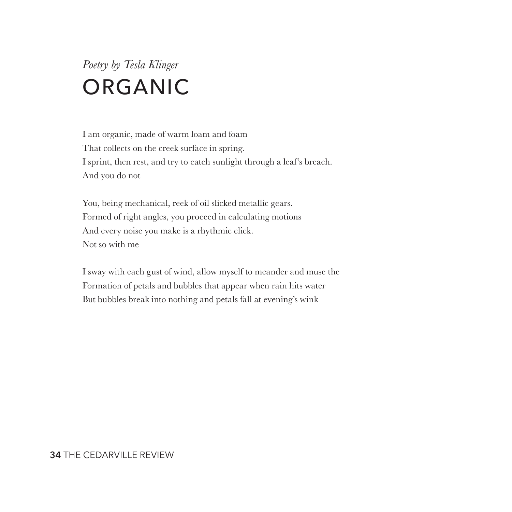## *Poetry by Tesla Klinger* ORGANIC

I am organic, made of warm loam and foam That collects on the creek surface in spring. I sprint, then rest, and try to catch sunlight through a leaf's breach. And you do not

You, being mechanical, reek of oil slicked metallic gears. Formed of right angles, you proceed in calculating motions And every noise you make is a rhythmic click. Not so with me

I sway with each gust of wind, allow myself to meander and muse the Formation of petals and bubbles that appear when rain hits water But bubbles break into nothing and petals fall at evening's wink

#### **34** THE CEDARVILLE REVIEW